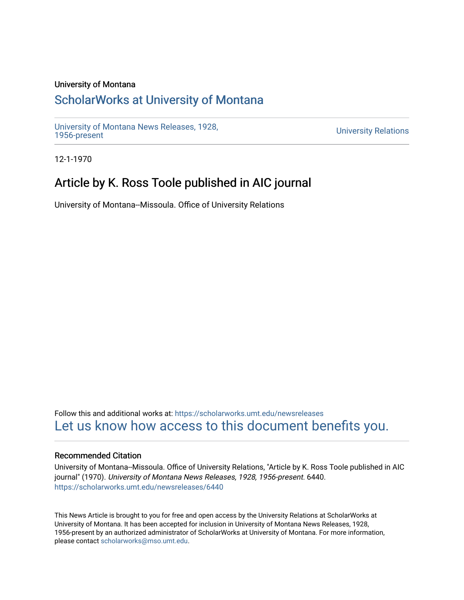### University of Montana

# [ScholarWorks at University of Montana](https://scholarworks.umt.edu/)

[University of Montana News Releases, 1928,](https://scholarworks.umt.edu/newsreleases) 

**University Relations** 

12-1-1970

# Article by K. Ross Toole published in AIC journal

University of Montana--Missoula. Office of University Relations

Follow this and additional works at: [https://scholarworks.umt.edu/newsreleases](https://scholarworks.umt.edu/newsreleases?utm_source=scholarworks.umt.edu%2Fnewsreleases%2F6440&utm_medium=PDF&utm_campaign=PDFCoverPages) [Let us know how access to this document benefits you.](https://goo.gl/forms/s2rGfXOLzz71qgsB2) 

#### Recommended Citation

University of Montana--Missoula. Office of University Relations, "Article by K. Ross Toole published in AIC journal" (1970). University of Montana News Releases, 1928, 1956-present. 6440. [https://scholarworks.umt.edu/newsreleases/6440](https://scholarworks.umt.edu/newsreleases/6440?utm_source=scholarworks.umt.edu%2Fnewsreleases%2F6440&utm_medium=PDF&utm_campaign=PDFCoverPages) 

This News Article is brought to you for free and open access by the University Relations at ScholarWorks at University of Montana. It has been accepted for inclusion in University of Montana News Releases, 1928, 1956-present by an authorized administrator of ScholarWorks at University of Montana. For more information, please contact [scholarworks@mso.umt.edu.](mailto:scholarworks@mso.umt.edu)